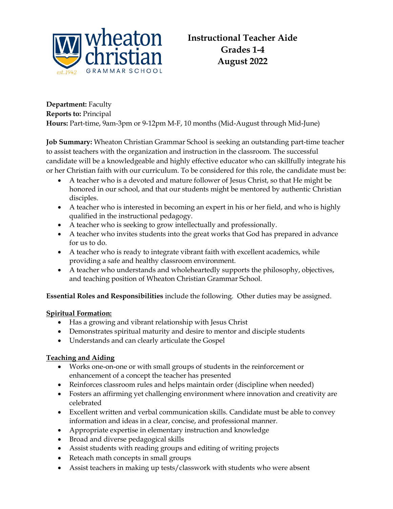

**Department:** Faculty **Reports to:** Principal **Hours:** Part-time, 9am-3pm or 9-12pm M-F, 10 months (Mid-August through Mid-June)

**Job Summary:** Wheaton Christian Grammar School is seeking an outstanding part-time teacher to assist teachers with the organization and instruction in the classroom. The successful candidate will be a knowledgeable and highly effective educator who can skillfully integrate his or her Christian faith with our curriculum. To be considered for this role, the candidate must be:

- A teacher who is a devoted and mature follower of Jesus Christ, so that He might be honored in our school, and that our students might be mentored by authentic Christian disciples.
- A teacher who is interested in becoming an expert in his or her field, and who is highly qualified in the instructional pedagogy.
- A teacher who is seeking to grow intellectually and professionally.
- A teacher who invites students into the great works that God has prepared in advance for us to do.
- A teacher who is ready to integrate vibrant faith with excellent academics, while providing a safe and healthy classroom environment.
- A teacher who understands and wholeheartedly supports the philosophy, objectives, and teaching position of Wheaton Christian Grammar School.

**Essential Roles and Responsibilities** include the following. Other duties may be assigned.

## **Spiritual Formation:**

- Has a growing and vibrant relationship with Jesus Christ
- Demonstrates spiritual maturity and desire to mentor and disciple students
- Understands and can clearly articulate the Gospel

## **Teaching and Aiding**

- Works one-on-one or with small groups of students in the reinforcement or enhancement of a concept the teacher has presented
- Reinforces classroom rules and helps maintain order (discipline when needed)
- Fosters an affirming yet challenging environment where innovation and creativity are celebrated
- Excellent written and verbal communication skills. Candidate must be able to convey information and ideas in a clear, concise, and professional manner.
- Appropriate expertise in elementary instruction and knowledge
- Broad and diverse pedagogical skills
- Assist students with reading groups and editing of writing projects
- Reteach math concepts in small groups
- Assist teachers in making up tests/classwork with students who were absent